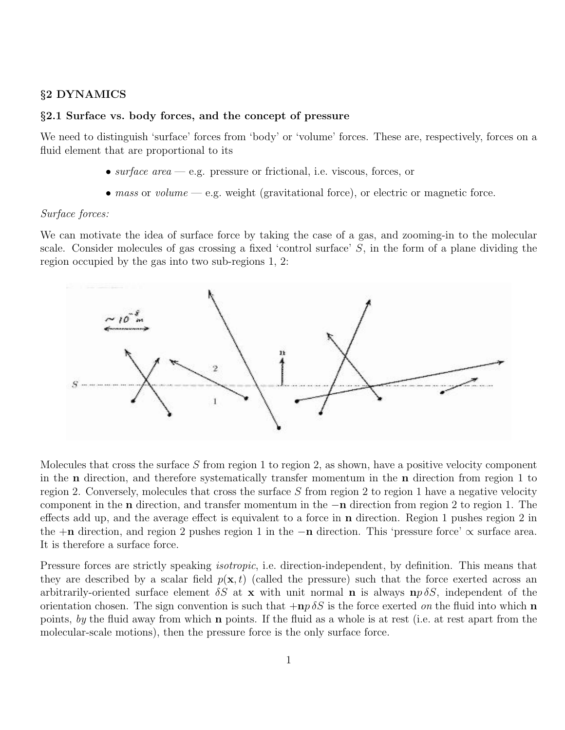### §2 DYNAMICS

# §2.1 Surface vs. body forces, and the concept of pressure

We need to distinguish 'surface' forces from 'body' or 'volume' forces. These are, respectively, forces on a fluid element that are proportional to its

- surface area e.g. pressure or frictional, i.e. viscous, forces, or
- mass or volume  $-$  e.g. weight (gravitational force), or electric or magnetic force.

#### Surface forces:

We can motivate the idea of surface force by taking the case of a gas, and zooming-in to the molecular scale. Consider molecules of gas crossing a fixed 'control surface'  $S$ , in the form of a plane dividing the region occupied by the gas into two sub-regions 1, 2:



Molecules that cross the surface S from region 1 to region 2, as shown, have a positive velocity component in the n direction, and therefore systematically transfer momentum in the n direction from region 1 to region 2. Conversely, molecules that cross the surface S from region 2 to region 1 have a negative velocity component in the n direction, and transfer momentum in the −n direction from region 2 to region 1. The effects add up, and the average effect is equivalent to a force in n direction. Region 1 pushes region 2 in the  $+n$  direction, and region 2 pushes region 1 in the  $-n$  direction. This 'pressure force'  $\propto$  surface area. It is therefore a surface force.

Pressure forces are strictly speaking *isotropic*, i.e. direction-independent, by definition. This means that they are described by a scalar field  $p(x, t)$  (called the pressure) such that the force exerted across an arbitrarily-oriented surface element  $\delta S$  at x with unit normal **n** is always  $\mathbf{np} \delta S$ , independent of the orientation chosen. The sign convention is such that  $+n p \delta S$  is the force exerted on the fluid into which n points, by the fluid away from which n points. If the fluid as a whole is at rest (i.e. at rest apart from the molecular-scale motions), then the pressure force is the only surface force.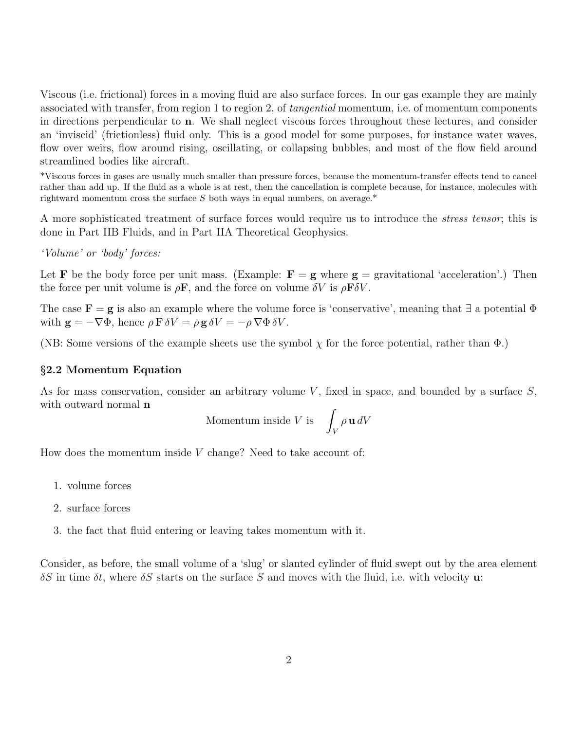Viscous (i.e. frictional) forces in a moving fluid are also surface forces. In our gas example they are mainly associated with transfer, from region 1 to region 2, of tangential momentum, i.e. of momentum components in directions perpendicular to n. We shall neglect viscous forces throughout these lectures, and consider an 'inviscid' (frictionless) fluid only. This is a good model for some purposes, for instance water waves, flow over weirs, flow around rising, oscillating, or collapsing bubbles, and most of the flow field around streamlined bodies like aircraft.

\*Viscous forces in gases are usually much smaller than pressure forces, because the momentum-transfer effects tend to cancel rather than add up. If the fluid as a whole is at rest, then the cancellation is complete because, for instance, molecules with rightward momentum cross the surface  $S$  both ways in equal numbers, on average.\*

A more sophisticated treatment of surface forces would require us to introduce the stress tensor; this is done in Part IIB Fluids, and in Part IIA Theoretical Geophysics.

'Volume' or 'body' forces:

Let **F** be the body force per unit mass. (Example:  $\mathbf{F} = \mathbf{g}$  where  $\mathbf{g} =$  gravitational 'acceleration'.) Then the force per unit volume is  $\rho \mathbf{F}$ , and the force on volume  $\delta V$  is  $\rho \mathbf{F} \delta V$ .

The case  $\mathbf{F} = \mathbf{g}$  is also an example where the volume force is 'conservative', meaning that  $\exists$  a potential  $\Phi$ with  $\mathbf{g} = -\nabla \Phi$ , hence  $\rho \mathbf{F} \delta V = \rho \mathbf{g} \delta V = -\rho \nabla \Phi \delta V$ .

(NB: Some versions of the example sheets use the symbol  $\chi$  for the force potential, rather than  $\Phi$ .)

## §2.2 Momentum Equation

As for mass conservation, consider an arbitrary volume V, fixed in space, and bounded by a surface  $S$ , with outward normal **n** 

$$
Momentum inside V is \quad \int_V \rho \, \mathbf{u} \, dV
$$

How does the momentum inside  $V$  change? Need to take account of:

- 1. volume forces
- 2. surface forces
- 3. the fact that fluid entering or leaving takes momentum with it.

Consider, as before, the small volume of a 'slug' or slanted cylinder of fluid swept out by the area element  $\delta S$  in time  $\delta t$ , where  $\delta S$  starts on the surface S and moves with the fluid, i.e. with velocity **u**: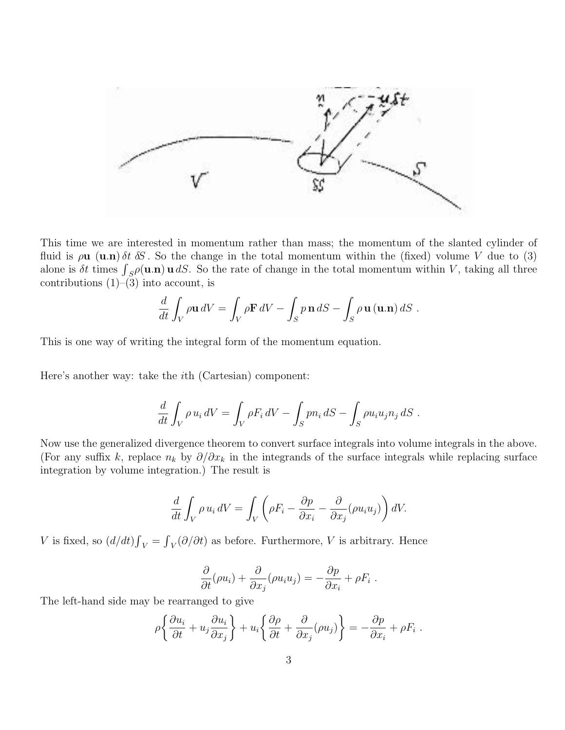

This time we are interested in momentum rather than mass; the momentum of the slanted cylinder of fluid is  $\rho$ **u** (**u**.n)  $\delta t$   $\delta S$ . So the change in the total momentum within the (fixed) volume V due to (3) alone is  $\delta t$  times  $\int_{S} \rho(\mathbf{u}.\mathbf{n}) \mathbf{u} dS$ . So the rate of change in the total momentum within V, taking all three contributions  $(1)$ – $(3)$  into account, is

$$
\frac{d}{dt} \int_{V} \rho \mathbf{u} \, dV = \int_{V} \rho \mathbf{F} \, dV - \int_{S} p \, \mathbf{n} \, dS - \int_{S} \rho \, \mathbf{u} \, (\mathbf{u}.\mathbf{n}) \, dS \, .
$$

This is one way of writing the integral form of the momentum equation.

Here's another way: take the ith (Cartesian) component:

$$
\frac{d}{dt} \int_{V} \rho u_i dV = \int_{V} \rho F_i dV - \int_{S} p n_i dS - \int_{S} \rho u_i u_j n_j dS.
$$

Now use the generalized divergence theorem to convert surface integrals into volume integrals in the above. (For any suffix k, replace  $n_k$  by  $\partial/\partial x_k$  in the integrands of the surface integrals while replacing surface integration by volume integration.) The result is

$$
\frac{d}{dt} \int_{V} \rho u_i dV = \int_{V} \left( \rho F_i - \frac{\partial p}{\partial x_i} - \frac{\partial}{\partial x_j} (\rho u_i u_j) \right) dV.
$$

V is fixed, so  $(d/dt) \int_V = \int_V (\partial/\partial t)$  as before. Furthermore, V is arbitrary. Hence

$$
\frac{\partial}{\partial t}(\rho u_i) + \frac{\partial}{\partial x_j}(\rho u_i u_j) = -\frac{\partial p}{\partial x_i} + \rho F_i.
$$

The left-hand side may be rearranged to give

$$
\rho \left\{ \frac{\partial u_i}{\partial t} + u_j \frac{\partial u_i}{\partial x_j} \right\} + u_i \left\{ \frac{\partial \rho}{\partial t} + \frac{\partial}{\partial x_j} (\rho u_j) \right\} = -\frac{\partial p}{\partial x_i} + \rho F_i.
$$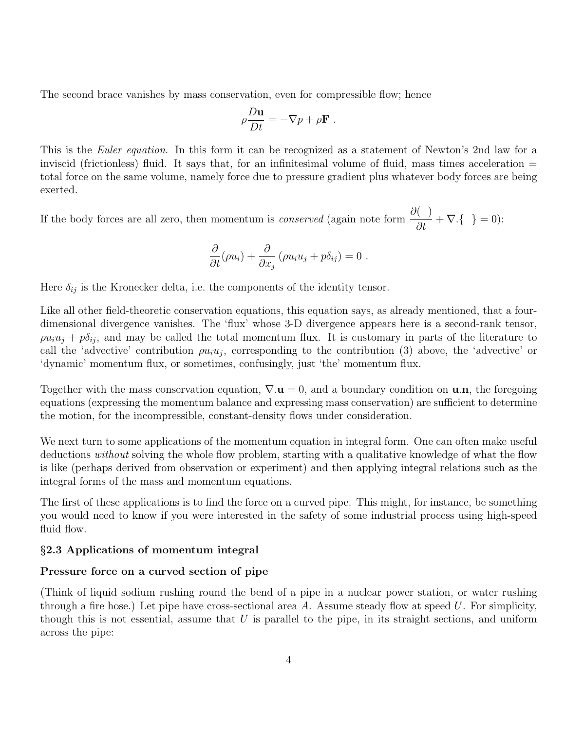The second brace vanishes by mass conservation, even for compressible flow; hence

$$
\rho \frac{D\mathbf{u}}{Dt} = -\nabla p + \rho \mathbf{F} .
$$

This is the *Euler equation*. In this form it can be recognized as a statement of Newton's 2nd law for a inviscid (frictionless) fluid. It says that, for an infinitesimal volume of fluid, mass times acceleration = total force on the same volume, namely force due to pressure gradient plus whatever body forces are being exerted.

If the body forces are all zero, then momentum is *conserved* (again note form  $\frac{\partial}{\partial t} + \nabla \cdot \{-\} = 0$ ):

$$
\frac{\partial}{\partial t}(\rho u_i) + \frac{\partial}{\partial x_j}(\rho u_i u_j + p \delta_{ij}) = 0.
$$

Here  $\delta_{ij}$  is the Kronecker delta, i.e. the components of the identity tensor.

Like all other field-theoretic conservation equations, this equation says, as already mentioned, that a fourdimensional divergence vanishes. The 'flux' whose 3-D divergence appears here is a second-rank tensor,  $\varphi u_i u_j + p \delta_{ij}$ , and may be called the total momentum flux. It is customary in parts of the literature to call the 'advective' contribution  $\varphi u_i u_j$ , corresponding to the contribution (3) above, the 'advective' or 'dynamic' momentum flux, or sometimes, confusingly, just 'the' momentum flux.

Together with the mass conservation equation,  $\nabla \mathbf{u} = 0$ , and a boundary condition on **u.n**, the foregoing equations (expressing the momentum balance and expressing mass conservation) are sufficient to determine the motion, for the incompressible, constant-density flows under consideration.

We next turn to some applications of the momentum equation in integral form. One can often make useful deductions *without* solving the whole flow problem, starting with a qualitative knowledge of what the flow is like (perhaps derived from observation or experiment) and then applying integral relations such as the integral forms of the mass and momentum equations.

The first of these applications is to find the force on a curved pipe. This might, for instance, be something you would need to know if you were interested in the safety of some industrial process using high-speed fluid flow.

## §2.3 Applications of momentum integral

### Pressure force on a curved section of pipe

(Think of liquid sodium rushing round the bend of a pipe in a nuclear power station, or water rushing through a fire hose.) Let pipe have cross-sectional area A. Assume steady flow at speed  $U$ . For simplicity, though this is not essential, assume that  $U$  is parallel to the pipe, in its straight sections, and uniform across the pipe: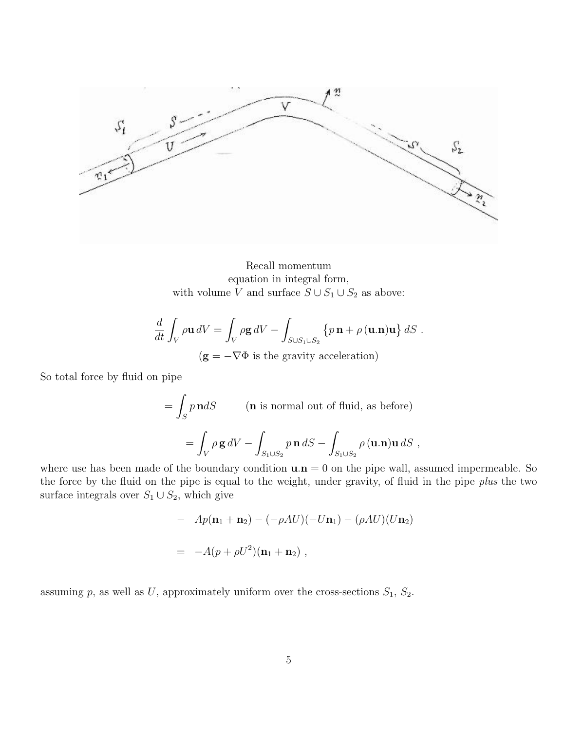

Recall momentum equation in integral form, with volume  $V$  and surface  $S \cup S_1 \cup S_2$  as above:

$$
\frac{d}{dt} \int_{V} \rho \mathbf{u} \, dV = \int_{V} \rho \mathbf{g} \, dV - \int_{S \cup S_1 \cup S_2} \left\{ p \, \mathbf{n} + \rho \, (\mathbf{u}.\mathbf{n}) \mathbf{u} \right\} dS \ .
$$
\n
$$
(S = \nabla \Phi \text{ is the gravity geological relation})
$$

 $(g = -V\Phi)$  is the gravity acceleration)

So total force by fluid on pipe

$$
= \int_{S} p \, \mathbf{n} dS \qquad \text{(n is normal out of fluid, as before)}
$$

$$
= \int_{V} \rho \, \mathbf{g} \, dV - \int_{S_1 \cup S_2} p \, \mathbf{n} \, dS - \int_{S_1 \cup S_2} \rho \, (\mathbf{u}.\mathbf{n}) \mathbf{u} \, dS \ ,
$$

where use has been made of the boundary condition  $\mathbf{u} \cdot \mathbf{n} = 0$  on the pipe wall, assumed impermeable. So the force by the fluid on the pipe is equal to the weight, under gravity, of fluid in the pipe plus the two surface integrals over  $S_1 \cup S_2$ , which give

$$
- Ap(\mathbf{n}_1 + \mathbf{n}_2) - (-\rho AU)(-U\mathbf{n}_1) - (\rho AU)(U\mathbf{n}_2)
$$
  
= 
$$
-A(p + \rho U^2)(\mathbf{n}_1 + \mathbf{n}_2),
$$

assuming p, as well as U, approximately uniform over the cross-sections  $S_1$ ,  $S_2$ .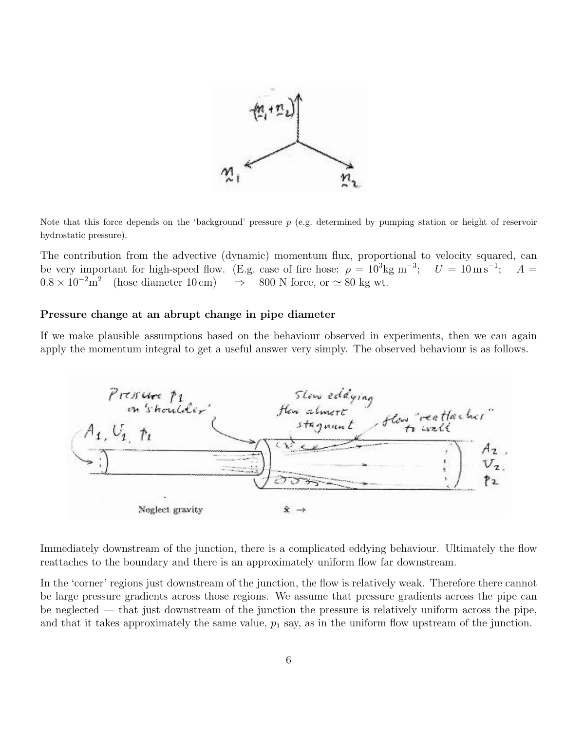

Note that this force depends on the 'background' pressure  $p$  (e.g. determined by pumping station or height of reservoir hydrostatic pressure).

The contribution from the advective (dynamic) momentum flux, proportional to velocity squared, can be very important for high-speed flow. (E.g. case of fire hose:  $\rho = 10^3 \text{kg m}^{-3}$ ;  $U = 10 \text{ m s}^{-1}$ ;  $A =$  $0.8 \times 10^{-2}$  m<sup>2</sup> (hose diameter 10 cm)  $\Rightarrow$  800 N force, or  $\simeq 80$  kg wt.

### Pressure change at an abrupt change in pipe diameter

If we make plausible assumptions based on the behaviour observed in experiments, then we can again apply the momentum integral to get a useful answer very simply. The observed behaviour is as follows.



Immediately downstream of the junction, there is a complicated eddying behaviour. Ultimately the flow reattaches to the boundary and there is an approximately uniform flow far downstream.

In the 'corner' regions just downstream of the junction, the flow is relatively weak. Therefore there cannot be large pressure gradients across those regions. We assume that pressure gradients across the pipe can be neglected — that just downstream of the junction the pressure is relatively uniform across the pipe, and that it takes approximately the same value,  $p_1$  say, as in the uniform flow upstream of the junction.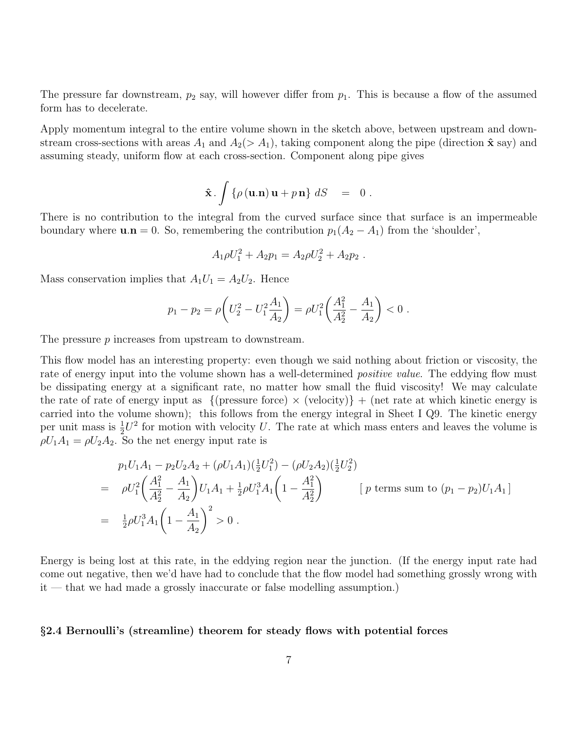The pressure far downstream,  $p_2$  say, will however differ from  $p_1$ . This is because a flow of the assumed form has to decelerate.

Apply momentum integral to the entire volume shown in the sketch above, between upstream and downstream cross-sections with areas  $A_1$  and  $A_2(> A_1)$ , taking component along the pipe (direction  $\hat{\mathbf{x}}$  say) and assuming steady, uniform flow at each cross-section. Component along pipe gives

$$
\hat{\mathbf{x}} \cdot \int {\rho(\mathbf{u}.\mathbf{n})\,\mathbf{u} + p\,\mathbf{n}}\,dS = 0.
$$

There is no contribution to the integral from the curved surface since that surface is an impermeable boundary where  $\mathbf{u}.\mathbf{n} = 0$ . So, remembering the contribution  $p_1(A_2 - A_1)$  from the 'shoulder',

$$
A_1 \rho U_1^2 + A_2 p_1 = A_2 \rho U_2^2 + A_2 p_2.
$$

Mass conservation implies that  $A_1U_1 = A_2U_2$ . Hence

$$
p_1 - p_2 = \rho \left( U_2^2 - U_1^2 \frac{A_1}{A_2} \right) = \rho U_1^2 \left( \frac{A_1^2}{A_2^2} - \frac{A_1}{A_2} \right) < 0.
$$

The pressure p increases from upstream to downstream.

This flow model has an interesting property: even though we said nothing about friction or viscosity, the rate of energy input into the volume shown has a well-determined *positive value*. The eddying flow must be dissipating energy at a significant rate, no matter how small the fluid viscosity! We may calculate the rate of rate of energy input as  $\{$  (pressure force)  $\times$  (velocity)} + (net rate at which kinetic energy is carried into the volume shown); this follows from the energy integral in Sheet I Q9. The kinetic energy per unit mass is  $\frac{1}{2}U^2$  for motion with velocity U. The rate at which mass enters and leaves the volume is  $\rho U_1 A_1 = \rho U_2 A_2$ . So the net energy input rate is

$$
p_1 U_1 A_1 - p_2 U_2 A_2 + (\rho U_1 A_1)(\frac{1}{2}U_1^2) - (\rho U_2 A_2)(\frac{1}{2}U_2^2)
$$
  
=  $\rho U_1^2 \left(\frac{A_1^2}{A_2^2} - \frac{A_1}{A_2}\right) U_1 A_1 + \frac{1}{2} \rho U_1^3 A_1 \left(1 - \frac{A_1^2}{A_2^2}\right)$  [*p* terms sum to  $(p_1 - p_2) U_1 A_1$ ]  
=  $\frac{1}{2} \rho U_1^3 A_1 \left(1 - \frac{A_1}{A_2}\right)^2 > 0$ .

Energy is being lost at this rate, in the eddying region near the junction. (If the energy input rate had come out negative, then we'd have had to conclude that the flow model had something grossly wrong with it — that we had made a grossly inaccurate or false modelling assumption.)

#### §2.4 Bernoulli's (streamline) theorem for steady flows with potential forces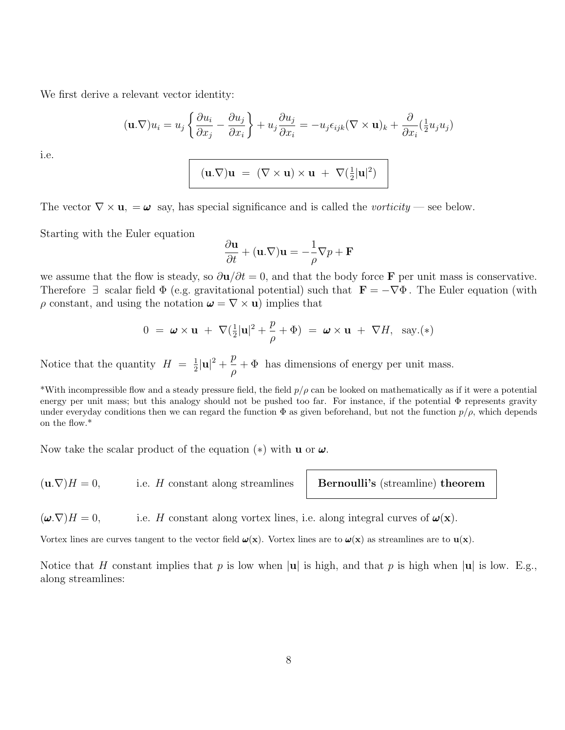We first derive a relevant vector identity:

$$
(\mathbf{u}.\nabla)u_i = u_j \left\{ \frac{\partial u_i}{\partial x_j} - \frac{\partial u_j}{\partial x_i} \right\} + u_j \frac{\partial u_j}{\partial x_i} = -u_j \epsilon_{ijk} (\nabla \times \mathbf{u})_k + \frac{\partial}{\partial x_i} (\frac{1}{2} u_j u_j)
$$

i.e.

$$
(\mathbf{u}.\nabla)\mathbf{u} \ = \ (\nabla \times \mathbf{u}) \times \mathbf{u} \ + \ \nabla (\frac{1}{2}|\mathbf{u}|^2)
$$

The vector  $\nabla \times \mathbf{u}$ ,  $= \boldsymbol{\omega}$  say, has special significance and is called the *vorticity* — see below.

Starting with the Euler equation

$$
\frac{\partial \mathbf{u}}{\partial t} + (\mathbf{u}.\nabla)\mathbf{u} = -\frac{1}{\rho}\nabla p + \mathbf{F}
$$

we assume that the flow is steady, so  $\frac{\partial \mathbf{u}}{\partial t} = 0$ , and that the body force F per unit mass is conservative. Therefore  $\exists$  scalar field  $\Phi$  (e.g. gravitational potential) such that  $\mathbf{F} = -\nabla \Phi$ . The Euler equation (with  $\rho$  constant, and using the notation  $\boldsymbol{\omega} = \nabla \times \mathbf{u}$  implies that

$$
0 = \boldsymbol{\omega} \times \mathbf{u} + \nabla (\frac{1}{2}|\mathbf{u}|^2 + \frac{p}{\rho} + \Phi) = \boldsymbol{\omega} \times \mathbf{u} + \nabla H, \text{ say.} (*)
$$

Notice that the quantity  $H = \frac{1}{2}$  $\frac{1}{2}|\mathbf{u}|^2 + \frac{p}{a}$ ρ  $+$   $\Phi$  has dimensions of energy per unit mass.

\*With incompressible flow and a steady pressure field, the field  $p/\rho$  can be looked on mathematically as if it were a potential energy per unit mass; but this analogy should not be pushed too far. For instance, if the potential Φ represents gravity under everyday conditions then we can regard the function  $\Phi$  as given beforehand, but not the function  $p/\rho$ , which depends on the flow.\*

Now take the scalar product of the equation  $(*)$  with **u** or  $\omega$ .

 $(\mathbf{u}.\nabla)H = 0$ , i.e. H constant along streamlines **Bernoulli's** (streamline) theorem

 $(\boldsymbol{\omega} \cdot \nabla)H = 0$ , i.e. H constant along vortex lines, i.e. along integral curves of  $\boldsymbol{\omega}(\mathbf{x})$ .

Vortex lines are curves tangent to the vector field  $\omega(x)$ . Vortex lines are to  $\omega(x)$  as streamlines are to  $u(x)$ .

Notice that H constant implies that p is low when |u| is high, and that p is high when |u| is low. E.g., along streamlines: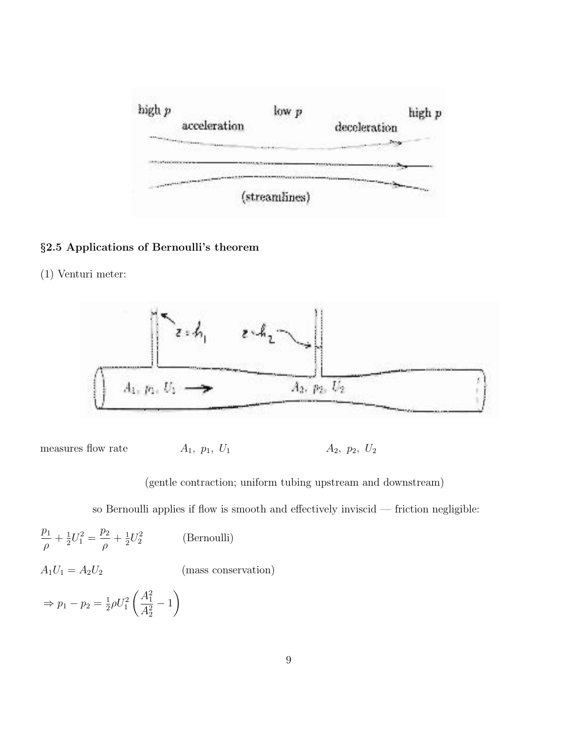

# §2.5 Applications of Bernoulli's theorem

(1) Venturi meter:



measures flow rate  $A_1$ ,  $p_1$ ,  $U_1$   $A_2$ ,  $p_2$ ,  $U_2$ 

(gentle contraction; uniform tubing upstream and downstream)

so Bernoulli applies if flow is smooth and effectively inviscid — friction negligible:

$$
\frac{p_1}{\rho} + \frac{1}{2}U_1^2 = \frac{p_2}{\rho} + \frac{1}{2}U_2^2
$$
 (Bernoulli)  
\n
$$
A_1U_1 = A_2U_2
$$
 (mass conservation)  
\n
$$
\Rightarrow p_1 - p_2 = \frac{1}{2}\rho U_1^2 \left(\frac{A_1^2}{A_2^2} - 1\right)
$$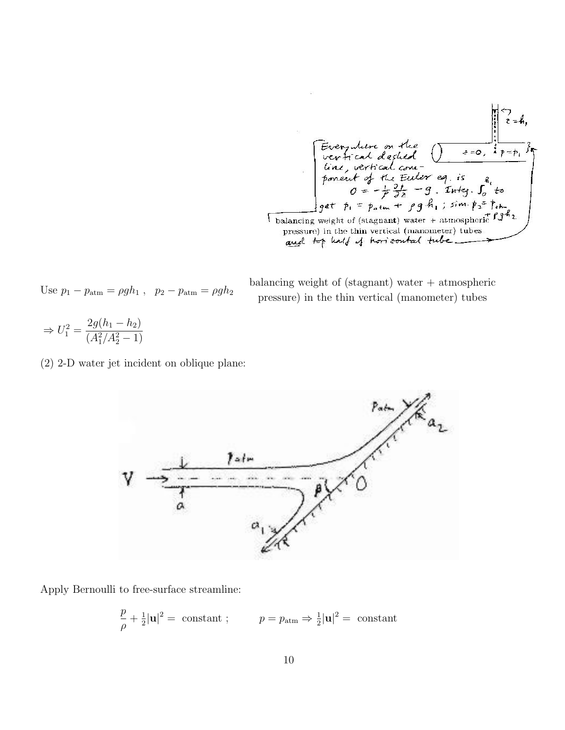Every where an the  
\nvert- and designed

\nFirst, vertical count-  
\n line, vertical count-  
\n point of the Euler eq. is a  
\n of 
$$
z = b
$$
, and the Euler eq. is a  
\n of  $z = -\frac{1}{2} \frac{3!}{2!} - 9$ . Integ.  $\int_0^z t_0$ 

\nEquating weight of (stagnant) water + atmospheric 19<sup>4</sup>?

\nThese  
\n pressure) in the thin vertical (manometer) tubes

\nand the half of horizontal tube

Use 
$$
p_1 - p_{\text{atm}} = \rho g h_1
$$
,  $p_2 - p_{\text{atm}} = \rho g h_2$ 

balancing weight of (stagnant) water + atmospheric pressure) in the thin vertical (manometer) tubes

$$
\Rightarrow U_1^2 = \frac{2g(h_1 - h_2)}{(A_1^2/A_2^2 - 1)}
$$

(2) 2-D water jet incident on oblique plane:



Apply Bernoulli to free-surface streamline:

$$
\frac{p}{\rho} + \frac{1}{2}|\mathbf{u}|^2 = \text{ constant}; \qquad p = p_{\text{atm}} \Rightarrow \frac{1}{2}|\mathbf{u}|^2 = \text{ constant}
$$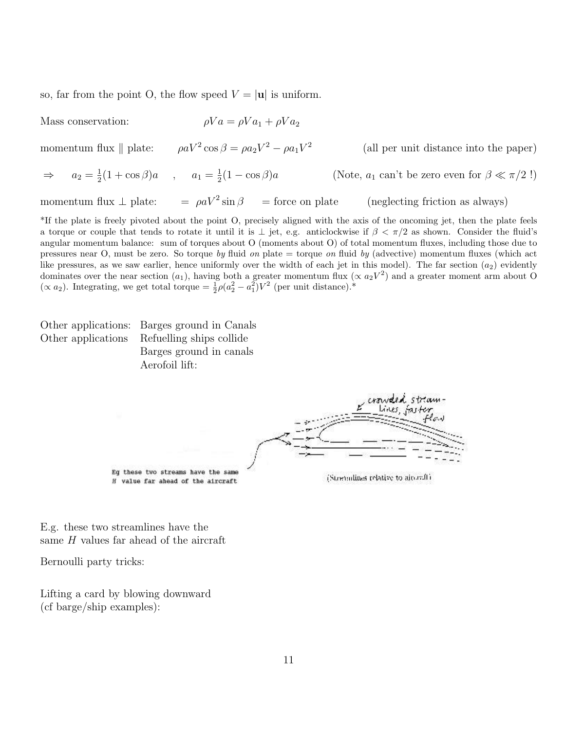so, far from the point O, the flow speed  $V = |u|$  is uniform.

Mass conservation:  $\rho Va = \rho Va_1 + \rho Va_2$ 

momentum flux  $\parallel$  plate:  $\cos \beta = \rho a_2 V^2 - \rho a_1 V^2$  (all per unit distance into the paper)

 $\Rightarrow$   $a_2 = \frac{1}{2}$  $\frac{1}{2}(1 + \cos \beta)a$ ,  $a_1 = \frac{1}{2}$ 2 (Note,  $a_1$  can't be zero even for  $\beta \ll \pi/2$  !)

momentum flux  $\perp$  plate:  $\qquad = \rho a V^2 \sin \beta =$  force on plate

 $(neglecting friction as always)$ 

\*If the plate is freely pivoted about the point O, precisely aligned with the axis of the oncoming jet, then the plate feels a torque or couple that tends to rotate it until it is  $\perp$  jet, e.g. anticlockwise if  $\beta < \pi/2$  as shown. Consider the fluid's angular momentum balance: sum of torques about O (moments about O) of total momentum fluxes, including those due to pressures near O, must be zero. So torque by fluid on plate  $=$  torque on fluid by (advective) momentum fluxes (which act like pressures, as we saw earlier, hence uniformly over the width of each jet in this model). The far section  $(a_2)$  evidently dominates over the near section  $(a_1)$ , having both a greater momentum flux  $(\propto a_2V^2)$  and a greater moment arm about O ( $\propto a_2$ ). Integrating, we get total torque =  $\frac{1}{2}\rho(a_2^2 - a_1^2)V^2$  (per unit distance).\*

Other applications: Barges ground in Canals Other applications Refuelling ships collide Barges ground in canals Aerofoil lift:

Eg these two streams have the same

H value far ahead of the aircraft

(Strenolines relative to aircraft)

E.g. these two streamlines have the same H values far ahead of the aircraft

Bernoulli party tricks:

Lifting a card by blowing downward (cf barge/ship examples):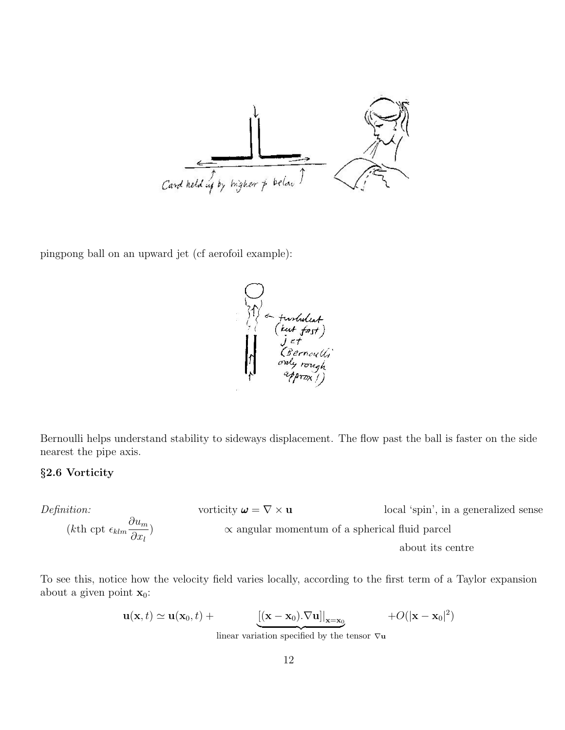

pingpong ball on an upward jet (cf aerofoil example):

Furtulest<br>(Lut fast)<br>Jet<br>CBernoulli<br>only rough<br>approvil

Bernoulli helps understand stability to sideways displacement. The flow past the ball is faster on the side nearest the pipe axis.

# §2.6 Vorticity

*Definition:*  
\n
$$
(k\text{th cpt } \epsilon_{klm} \frac{\partial u_m}{\partial x_l})
$$
\n
$$
(k\text{th cpt } \epsilon_{klm} \frac{\partial u_m}{\partial x_l})
$$
\n
$$
(k\text{th cpt } \epsilon_{klm} \frac{\partial u_m}{\partial x_l})
$$
\n
$$
(k\text{th cpt } \epsilon_{klm} \frac{\partial u_m}{\partial x_l})
$$
\n
$$
(k\text{th cpt } \epsilon_{klm} \frac{\partial u_m}{\partial x_l})
$$
\n
$$
(k\text{th cpt } \epsilon_{klm} \frac{\partial u_m}{\partial x_l})
$$

To see this, notice how the velocity field varies locally, according to the first term of a Taylor expansion about a given point  $\mathbf{x}_0$ :

$$
\mathbf{u}(\mathbf{x},t) \simeq \mathbf{u}(\mathbf{x}_0,t) + \underbrace{\left[ (\mathbf{x}-\mathbf{x}_0).\nabla \mathbf{u} \right] \big|_{\mathbf{x}=\mathbf{x}_0}} + O(|\mathbf{x}-\mathbf{x}_0|^2)
$$

linear variation specified by the tensor  $\nabla$ **u**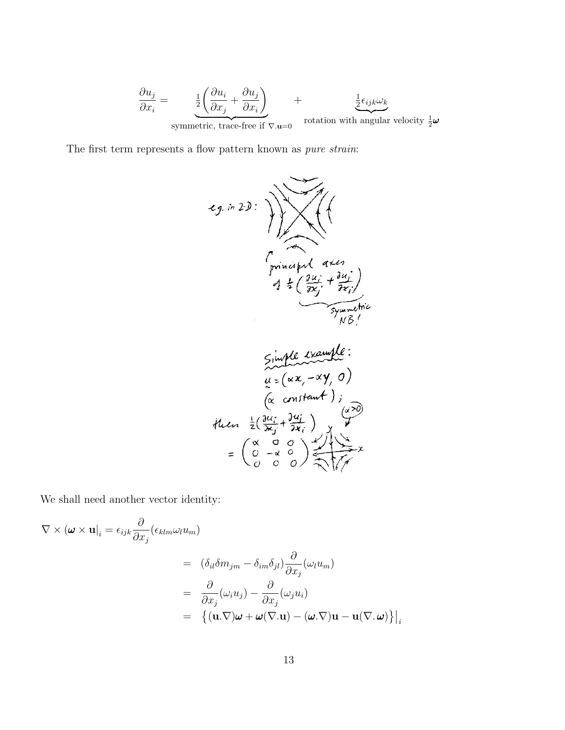$$
\frac{\partial u_j}{\partial x_i} = \underbrace{\frac{1}{2} \left( \frac{\partial u_i}{\partial x_j} + \frac{\partial u_j}{\partial x_i} \right)}_{\text{symmetric, trace-free if } \nabla \cdot \mathbf{u} = 0} + \underbrace{\frac{1}{2} \epsilon_{ijk} \omega_k}_{\text{rotation with angular velocity } \frac{1}{2} \boldsymbol{\omega}}
$$

The first term represents a flow pattern known as  $\emph{pure strain:}$ 

$$
f(x, y) = \frac{1}{\sqrt{\frac{3u^2 + 3u^2 + 3u^2 + 3u^2 + 3u^2 + 2u^2 + 3u^2 + 2u^2 + 3u^2 + 3u^2 + 3u^2 + 3u^2 + 3u^2 + 3u^2 + 3u^2 + 3u^2 + 3u^2 + 3u^2 + 3u^2 + 3u^2 + 3u^2 + 3u^2 + 3u^2 + 3u^2 + 3u^2 + 3u^2 + 3u^2 + 3u^2 + 3u^2 + 3u^2 + 3u^2 + 3u^2 + 3u^2 + 3u^2 + 3u^2 + 3u^2 + 3u^2 + 3u^2 + 3u^2 + 3u^2 + 3u^2 + 3u^2 + 3u^2 + 3u^2 + 3u^2 + 3u^2 + 3u^2 + 3u^2 + 3u^2 + 3u^2 + 3u^2 + 3u^2 + 3u^2 + 3u^2 + 3u^2 + 3u^2 + 3u^2 + 3u^2 + 3u^2 + 3u^2 + 3u^2 + 3u^2 + 3u^2 + 3u^2 + 3u^2 + 3u^2 + 3u^2 + 3u^2 + 3u^2 + 3u^2 + 3u^2 + 3u^2 + 3u^2 + 3u^2 + 3u^2 + 3u^2 + 3u^2 + 3u^2 + 3u^2 + 3u^2 + 3u^2 + 3u^2 + 3u^2 + 3u^2 + 3u^2 + 3u^2 + 3u^2 + 3u^2 + 3u^2 + 3u^2 + 3u^2 + 3u^2 + 3u^2 + 3u^2 + 3u^2 + 3u^2 + 3u^2 + 3u^2 + 3u^2 + 3u^2 + 3u^2 + 3u^2 + 3u^2 + 3u^2 + 3u^2 + 3u^2 + 3u^2 + 3u^2 + 3u^2 + 3u^2 + 3u^2 + 3u^2 + 3u^2 + 3u^2 + 3u^2 + 3u^2 + 3u^2 + 3u^2 + 3u^2 + 3u^2 + 3u^2 + 3u^2 + 3u^2 + 3u^2 +
$$

We shall need another vector identity:

$$
\nabla \times (\boldsymbol{\omega} \times \mathbf{u}|_i = \epsilon_{ijk} \frac{\partial}{\partial x_j} (\epsilon_{klm} \omega_l u_m)
$$
  
\n
$$
= (\delta_{il} \delta m_{jm} - \delta_{im} \delta_{jl}) \frac{\partial}{\partial x_j} (\omega_l u_m)
$$
  
\n
$$
= \frac{\partial}{\partial x_j} (\omega_i u_j) - \frac{\partial}{\partial x_j} (\omega_j u_i)
$$
  
\n
$$
= \{ (\mathbf{u} \cdot \nabla) \boldsymbol{\omega} + \boldsymbol{\omega} (\nabla \cdot \mathbf{u}) - (\boldsymbol{\omega} \cdot \nabla) \mathbf{u} - \mathbf{u} (\nabla \cdot \boldsymbol{\omega}) \} \Big|_i
$$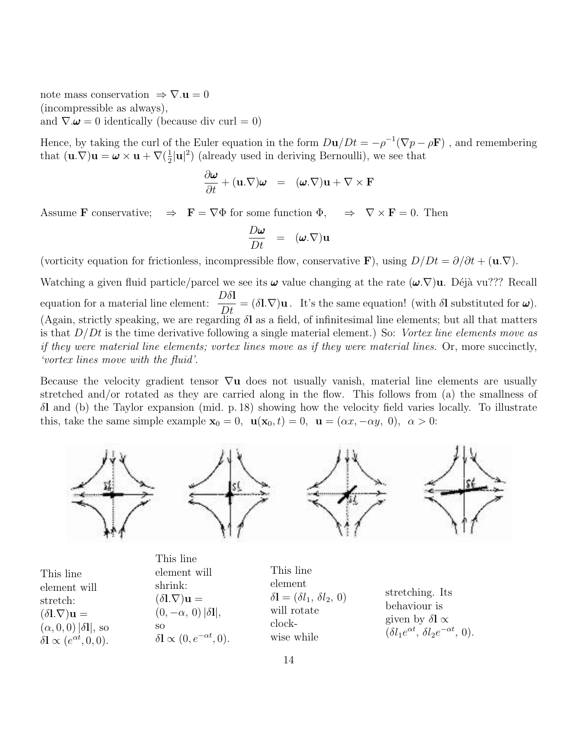note mass conservation  $\Rightarrow \nabla \cdot \mathbf{u} = 0$ (incompressible as always),

and  $\nabla \omega = 0$  identically (because div curl = 0)

Hence, by taking the curl of the Euler equation in the form  $D\mathbf{u}/Dt = -\rho^{-1}(\nabla p - \rho \mathbf{F})$ , and remembering that  $(\mathbf{u}.\nabla)\mathbf{u} = \boldsymbol{\omega} \times \mathbf{u} + \nabla(\frac{1}{2})$  $\frac{1}{2}|\mathbf{u}|^2$ ) (already used in deriving Bernoulli), we see that

$$
\frac{\partial \boldsymbol{\omega}}{\partial t} + (\mathbf{u}.\nabla)\boldsymbol{\omega} = (\boldsymbol{\omega}.\nabla)\mathbf{u} + \nabla \times \mathbf{F}
$$

Assume **F** conservative;  $\Rightarrow$  **F** =  $\nabla \Phi$  for some function  $\Phi$ ,  $\Rightarrow$   $\nabla \times$  **F** = 0. Then

$$
\frac{D\boldsymbol{\omega}}{Dt} = (\boldsymbol{\omega}.\nabla)\mathbf{u}
$$

(vorticity equation for frictionless, incompressible flow, conservative F), using  $D/Dt = \partial/\partial t + (\mathbf{u}.\nabla)$ .

Watching a given fluid particle/parcel we see its  $\omega$  value changing at the rate  $(\omega, \nabla)$ u. Déjà vu??? Recall equation for a material line element:  $\frac{D\delta\mathbf{l}}{D\delta\mathbf{l}}$  $D_t$  $= (\delta \mathbf{l} \cdot \nabla) \mathbf{u}$ . It's the same equation! (with  $\delta \mathbf{l}$  substituted for  $\boldsymbol{\omega}$ ). (Again, strictly speaking, we are regarding  $\delta l$  as a field, of infinitesimal line elements; but all that matters is that  $D/Dt$  is the time derivative following a single material element.) So: Vortex line elements move as if they were material line elements; vortex lines move as if they were material lines. Or, more succinctly, 'vortex lines move with the fluid'.

Because the velocity gradient tensor  $\nabla u$  does not usually vanish, material line elements are usually stretched and/or rotated as they are carried along in the flow. This follows from (a) the smallness of δl and (b) the Taylor expansion (mid. p. 18) showing how the velocity field varies locally. To illustrate this, take the same simple example  $\mathbf{x}_0 = 0$ ,  $\mathbf{u}(\mathbf{x}_0, t) = 0$ ,  $\mathbf{u} = (\alpha x, -\alpha y, 0)$ ,  $\alpha > 0$ :



|                                                   | This line                                          |                                                        |                                                           |
|---------------------------------------------------|----------------------------------------------------|--------------------------------------------------------|-----------------------------------------------------------|
| This line                                         | element will                                       | This line                                              |                                                           |
| element will                                      | shrink:                                            | element                                                | stretching. Its                                           |
| stretch:                                          | $(\delta\mathbf{l}.\nabla)\mathbf{u} =$            | $\delta\mathbf{l} = (\delta l_1, \, \delta l_2, \, 0)$ | behaviour is                                              |
| $(\delta\mathbf{l}.\nabla)\mathbf{u} =$           | $(0,-\alpha, 0)  \delta\mathbf{l} ,$               | will rotate                                            | given by $\delta l \propto$                               |
| $(\alpha, 0, 0)  \delta l $ , so                  | SO.                                                | clock-                                                 | $(\delta l_1 e^{\alpha t}, \delta l_2 e^{-\alpha t}, 0).$ |
| $\delta \mathbf{l} \propto (e^{\alpha t}, 0, 0).$ | $\delta \mathbf{l} \propto (0, e^{-\alpha t}, 0).$ | wise while                                             |                                                           |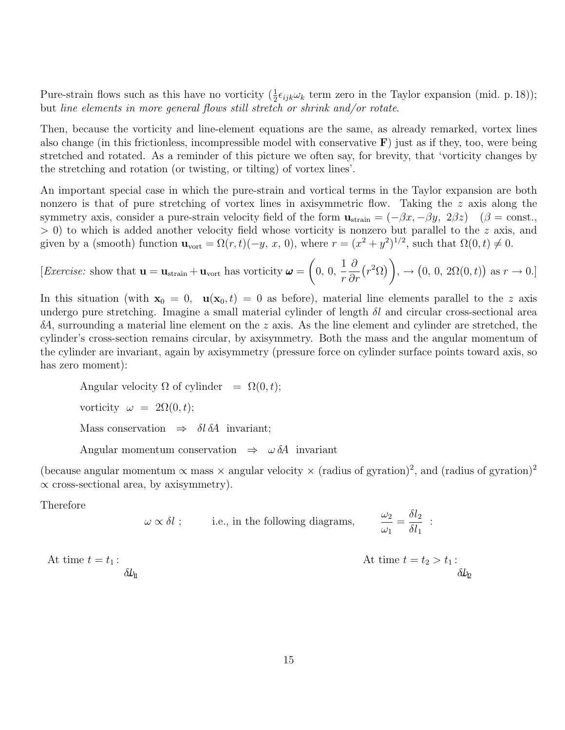Pure-strain flows such as this have no vorticity  $(\frac{1}{2}\epsilon_{ijk}\omega_k)$  term zero in the Taylor expansion (mid. p. 18)); but line elements in more general flows still stretch or shrink and/or rotate.

Then, because the vorticity and line-element equations are the same, as already remarked, vortex lines also change (in this frictionless, incompressible model with conservative  $\bf{F}$ ) just as if they, too, were being stretched and rotated. As a reminder of this picture we often say, for brevity, that 'vorticity changes by the stretching and rotation (or twisting, or tilting) of vortex lines'.

An important special case in which the pure-strain and vortical terms in the Taylor expansion are both nonzero is that of pure stretching of vortex lines in axisymmetric flow. Taking the z axis along the symmetry axis, consider a pure-strain velocity field of the form  $\mathbf{u}_{\text{strain}} = (-\beta x, -\beta y, 2\beta z)$  ( $\beta = \text{const.}$ )  $> 0$ ) to which is added another velocity field whose vorticity is nonzero but parallel to the z axis, and given by a (smooth) function  $\mathbf{u}_{\text{vort}} = \Omega(r,t)(-y, x, 0)$ , where  $r = (x^2 + y^2)^{1/2}$ , such that  $\Omega(0, t) \neq 0$ .

[Exercise: show that  $\mathbf{u} = \mathbf{u}_{\text{strain}} + \mathbf{u}_{\text{vort}}$  has vorticity  $\boldsymbol{\omega} = \begin{pmatrix} 0, 0, \end{pmatrix}$ 1 r ∂ ∂r  $(r^2\Omega)$ ,  $\rightarrow$   $(0, 0, 2\Omega(0,t))$  as  $r \rightarrow 0$ .]

In this situation (with  $x_0 = 0$ ,  $u(x_0, t) = 0$  as before), material line elements parallel to the z axis undergo pure stretching. Imagine a small material cylinder of length  $\delta l$  and circular cross-sectional area  $\delta A$ , surrounding a material line element on the z axis. As the line element and cylinder are stretched, the cylinder's cross-section remains circular, by axisymmetry. Both the mass and the angular momentum of the cylinder are invariant, again by axisymmetry (pressure force on cylinder surface points toward axis, so has zero moment):

Angular velocity  $\Omega$  of cylinder =  $\Omega(0, t)$ ; vorticity  $\omega = 2\Omega(0, t);$ Mass conservation  $\Rightarrow$   $\delta l \, \delta A$  invariant; Angular momentum conservation  $\Rightarrow$   $\omega \delta A$  invariant

(because angular momentum  $\propto$  mass  $\times$  angular velocity  $\times$  (radius of gyration)<sup>2</sup>, and (radius of gyration)<sup>2</sup>  $\propto$  cross-sectional area, by axisymmetry).

Therefore

$$
\omega \propto \delta l
$$
; i.e., in the following diagrams,  $\frac{\omega_2}{\omega_1} = \frac{\delta l_2}{\delta l_1}$ :

At time  $t = t_1$ :

δlω<sup>11</sup> δlω<sup>12</sup>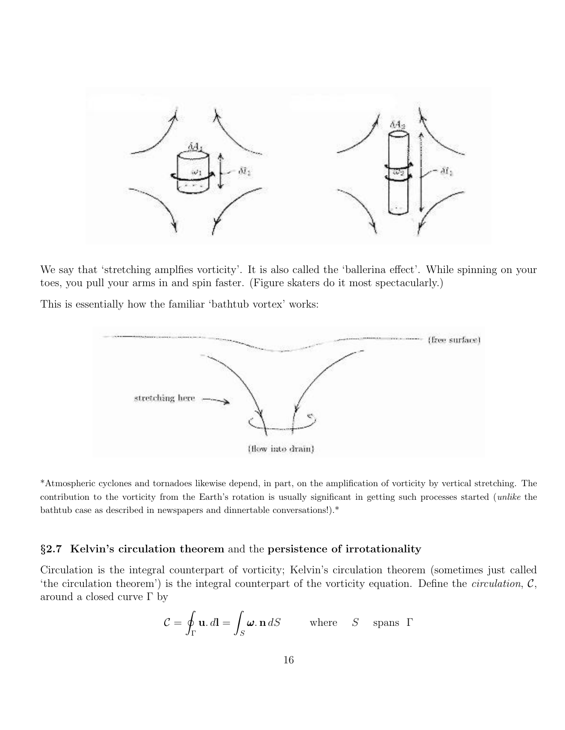

We say that 'stretching amplfies vorticity'. It is also called the 'ballerina effect'. While spinning on your toes, you pull your arms in and spin faster. (Figure skaters do it most spectacularly.)

This is essentially how the familiar 'bathtub vortex' works:



\*Atmospheric cyclones and tornadoes likewise depend, in part, on the amplification of vorticity by vertical stretching. The contribution to the vorticity from the Earth's rotation is usually significant in getting such processes started (unlike the bathtub case as described in newspapers and dinnertable conversations!).\*

### §2.7 Kelvin's circulation theorem and the persistence of irrotationality

Circulation is the integral counterpart of vorticity; Kelvin's circulation theorem (sometimes just called 'the circulation theorem') is the integral counterpart of the vorticity equation. Define the *circulation*,  $C$ , around a closed curve  $\Gamma$  by

$$
\mathcal{C} = \oint_{\Gamma} \mathbf{u} \cdot d\mathbf{l} = \int_{S} \boldsymbol{\omega} \cdot \mathbf{n} \, dS \quad \text{where} \quad S \quad \text{spans } \Gamma
$$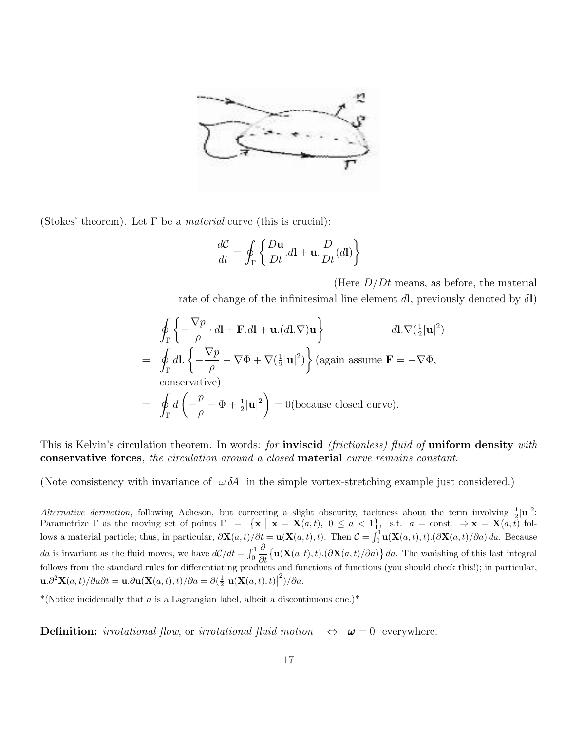

(Stokes' theorem). Let  $\Gamma$  be a *material* curve (this is crucial):

$$
\frac{dC}{dt} = \oint_{\Gamma} \left\{ \frac{D\mathbf{u}}{Dt} . d\mathbf{l} + \mathbf{u} . \frac{D}{Dt} (d\mathbf{l}) \right\}
$$

(Here  $D/Dt$  means, as before, the material rate of change of the infinitesimal line element dl, previously denoted by  $\delta\mathbf{l}$ )

$$
= \oint_{\Gamma} \left\{ -\frac{\nabla p}{\rho} \cdot d\mathbf{l} + \mathbf{F}.d\mathbf{l} + \mathbf{u}.(d\mathbf{l}.\nabla)\mathbf{u} \right\} = d\mathbf{l}.\nabla(\frac{1}{2}|\mathbf{u}|^2)
$$
  
\n
$$
= \oint_{\Gamma} d\mathbf{l}.\left\{ -\frac{\nabla p}{\rho} - \nabla \Phi + \nabla(\frac{1}{2}|\mathbf{u}|^2) \right\} \text{(again assume } \mathbf{F} = -\nabla \Phi,
$$
  
\nconservative)  
\n
$$
= \oint_{\Gamma} d\left( -\frac{p}{\rho} - \Phi + \frac{1}{2}|\mathbf{u}|^2 \right) = 0 \text{(because closed curve)}.
$$

This is Kelvin's circulation theorem. In words: for **inviscid** (frictionless) fluid of **uniform density** with conservative forces, the circulation around a closed material curve remains constant.

(Note consistency with invariance of  $\omega \, \delta \! A$  in the simple vortex-stretching example just considered.)

Alternative derivation, following Acheson, but correcting a slight obscurity, tacitness about the term involving  $\frac{1}{2}|\mathbf{u}|^2$ . Frametrize  $\Gamma$  as the moving set of points  $\Gamma = {\mathbf{x} \mid \mathbf{x} = \mathbf{X}(a,t), 0 \le a < 1}, \text{ s.t. } a = \text{const.} \Rightarrow \mathbf{x} = \mathbf{X}(a,t) \text{ fol-}$ lows a material particle; thus, in particular,  $\partial \mathbf{X}(a,t)/\partial t = \mathbf{u}(\mathbf{X}(a,t),t)$ . Then  $\mathcal{C} = \int_0^1 \mathbf{u}(\mathbf{X}(a,t),t) \cdot (\partial \mathbf{X}(a,t)/\partial a) \, da$ . Because da is invariant as the fluid moves, we have  $d\mathcal{C}/dt = \int_0^1$  $\partial$  $\frac{\partial}{\partial t} \left\{ \mathbf{u}(\mathbf{X}(a,t),t) . (\partial \mathbf{X}(a,t)/\partial a) \right\} da$ . The vanishing of this last integral follows from the standard rules for differentiating products and functions of functions (you should check this!); in particular,  $\mathbf{u}.\partial^2 \mathbf{X}(a,t)/\partial a \partial t = \mathbf{u}.\partial \mathbf{u}(\mathbf{X}(a,t),t)/\partial a = \partial \left(\frac{1}{2} \left| \mathbf{u}(\mathbf{X}(a,t),t) \right| \right)$  $^{2})/\partial a.$ 

\*(Notice incidentally that a is a Lagrangian label, albeit a discontinuous one.)\*

**Definition:** irrotational flow, or irrotational fluid motion  $\Leftrightarrow \omega = 0$  everywhere.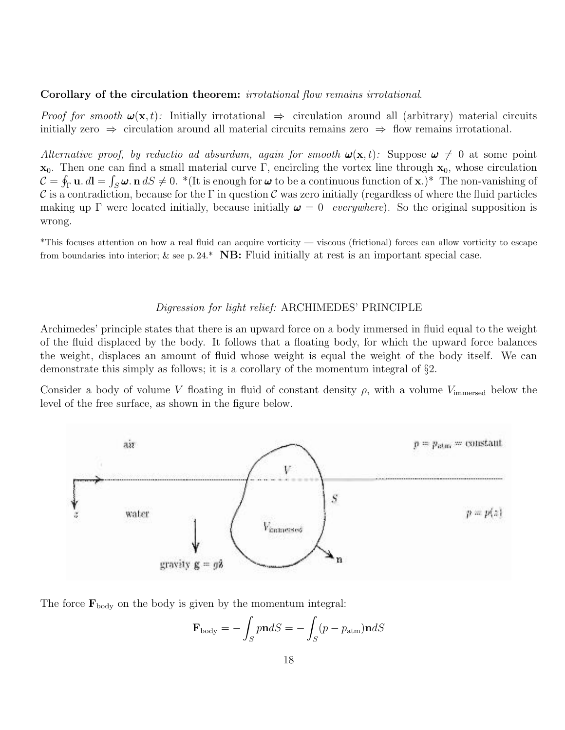#### Corollary of the circulation theorem: *irrotational flow remains irrotational.*

*Proof for smooth*  $\omega(\mathbf{x}, t)$ : Initially irrotational  $\Rightarrow$  circulation around all (arbitrary) material circuits initially zero  $\Rightarrow$  circulation around all material circuits remains zero  $\Rightarrow$  flow remains irrotational.

Alternative proof, by reductio ad absurdum, again for smooth  $\mathbf{\omega}(\mathbf{x}, t)$ . Suppose  $\mathbf{\omega} \neq 0$  at some point  $x_0$ . Then one can find a small material curve Γ, encircling the vortex line through  $x_0$ , whose circulation  $\mathcal{C} = \oint_{\Gamma} \mathbf{u} \cdot d\mathbf{l} = \int_{S} \boldsymbol{\omega} \cdot \mathbf{n} \, dS \neq 0.$  \*(It is enough for  $\boldsymbol{\omega}$  to be a continuous function of  $\mathbf{x}$ .)\* The non-vanishing of C is a contradiction, because for the  $\Gamma$  in question C was zero initially (regardless of where the fluid particles making up Γ were located initially, because initially  $\omega = 0$  everywhere). So the original supposition is wrong.

\*This focuses attention on how a real fluid can acquire vorticity — viscous (frictional) forces can allow vorticity to escape from boundaries into interior;  $\&$  see p. 24.\* **NB:** Fluid initially at rest is an important special case.

#### Digression for light relief: ARCHIMEDES' PRINCIPLE

Archimedes' principle states that there is an upward force on a body immersed in fluid equal to the weight of the fluid displaced by the body. It follows that a floating body, for which the upward force balances the weight, displaces an amount of fluid whose weight is equal the weight of the body itself. We can demonstrate this simply as follows; it is a corollary of the momentum integral of §2.

Consider a body of volume V floating in fluid of constant density  $\rho$ , with a volume V<sub>immersed</sub> below the level of the free surface, as shown in the figure below.



The force  $\mathbf{F}_{\text{body}}$  on the body is given by the momentum integral:

$$
\mathbf{F}_{\text{body}} = -\int_{S} p\mathbf{n}dS = -\int_{S} (p - p_{\text{atm}})\mathbf{n}dS
$$